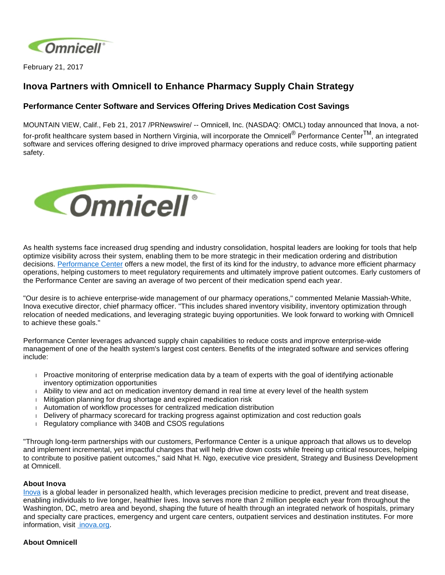

February 21, 2017

## **Inova Partners with Omnicell to Enhance Pharmacy Supply Chain Strategy**

## **Performance Center Software and Services Offering Drives Medication Cost Savings**

MOUNTAIN VIEW, Calif., Feb 21, 2017 /PRNewswire/ -- Omnicell, Inc. (NASDAQ: OMCL) today announced that Inova, a notfor-profit healthcare system based in Northern Virginia, will incorporate the Omnicell® Performance CenterTM, an integrated software and services offering designed to drive improved pharmacy operations and reduce costs, while supporting patient safety.



As health systems face increased drug spending and industry consolidation, hospital leaders are looking for tools that help optimize visibility across their system, enabling them to be more strategic in their medication ordering and distribution decisions. [Performance Center](https://www.omnicell.com/Products/Performance_Center.aspx) offers a new model, the first of its kind for the industry, to advance more efficient pharmacy operations, helping customers to meet regulatory requirements and ultimately improve patient outcomes. Early customers of the Performance Center are saving an average of two percent of their medication spend each year.

"Our desire is to achieve enterprise-wide management of our pharmacy operations," commented Melanie Massiah-White, Inova executive director, chief pharmacy officer. "This includes shared inventory visibility, inventory optimization through relocation of needed medications, and leveraging strategic buying opportunities. We look forward to working with Omnicell to achieve these goals."

Performance Center leverages advanced supply chain capabilities to reduce costs and improve enterprise-wide management of one of the health system's largest cost centers. Benefits of the integrated software and services offering include:

- Proactive monitoring of enterprise medication data by a team of experts with the goal of identifying actionable inventory optimization opportunities
- Ability to view and act on medication inventory demand in real time at every level of the health system
- Mitigation planning for drug shortage and expired medication risk
- Automation of workflow processes for centralized medication distribution
- Delivery of pharmacy scorecard for tracking progress against optimization and cost reduction goals
- Regulatory compliance with 340B and CSOS regulations

"Through long-term partnerships with our customers, Performance Center is a unique approach that allows us to develop and implement incremental, yet impactful changes that will help drive down costs while freeing up critical resources, helping to contribute to positive patient outcomes," said Nhat H. Ngo, executive vice president, Strategy and Business Development at Omnicell.

## **About Inova**

[Inova](http://www.inova.org/) is a global leader in personalized health, which leverages precision medicine to predict, prevent and treat disease, enabling individuals to live longer, healthier lives. Inova serves more than 2 million people each year from throughout the Washington, DC, metro area and beyond, shaping the future of health through an integrated network of hospitals, primary and specialty care practices, emergency and urgent care centers, outpatient services and destination institutes. For more information, visit [inova.org.](http://www.inova.org/)

## **About Omnicell**